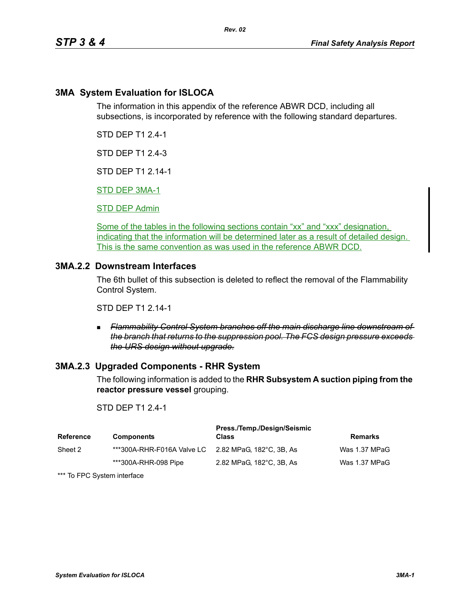## **3MA System Evaluation for ISLOCA**

The information in this appendix of the reference ABWR DCD, including all subsections, is incorporated by reference with the following standard departures.

*Rev. 02*

STD DEP T1 2.4-1

STD DEP T1 2.4-3

STD DEP T1 2.14-1

STD DEP 3MA-1

STD DEP Admin

Some of the tables in the following sections contain "xx" and "xxx" designation, indicating that the information will be determined later as a result of detailed design. This is the same convention as was used in the reference ABWR DCD.

## **3MA.2.2 Downstream Interfaces**

The 6th bullet of this subsection is deleted to reflect the removal of the Flammability Control System.

STD DEP T1 2.14-1

 *Flammability Control System branches off the main discharge line downstream of the branch that returns to the suppression pool. The FCS design pressure exceeds the URS design without upgrade.*

### **3MA.2.3 Upgraded Components - RHR System**

The following information is added to the **RHR Subsystem A suction piping from the reactor pressure vessel** grouping.

#### STD DEP T1 2.4-1

| Reference | <b>Components</b>                                   | Press./Temp./Design/Seismic<br><b>Class</b> | Remarks       |
|-----------|-----------------------------------------------------|---------------------------------------------|---------------|
| Sheet 2   | ***300A-RHR-F016A Valve LC 2.82 MPaG, 182°C, 3B, As |                                             | Was 1.37 MPaG |
|           | ***300A-RHR-098 Pipe                                | 2.82 MPaG, 182°C, 3B, As                    | Was 1.37 MPaG |

\*\*\* To FPC System interface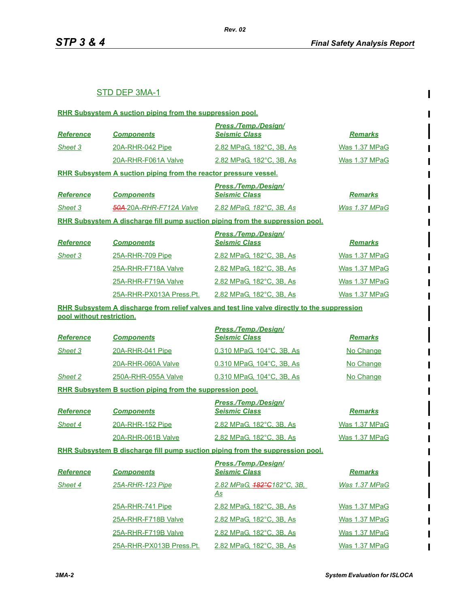$\mathbf I$ 

 $\blacksquare$ 

## STD DEP 3MA-1

|                           | RHR Subsystem A suction piping from the suppression pool.        |                                                                                              |                      |
|---------------------------|------------------------------------------------------------------|----------------------------------------------------------------------------------------------|----------------------|
| <b>Reference</b>          | <b>Components</b>                                                | Press./Temp./Design/<br><b>Seismic Class</b>                                                 | <b>Remarks</b>       |
| Sheet 3                   | 20A-RHR-042 Pipe                                                 | 2.82 MPaG, 182°C, 3B, As                                                                     | Was 1.37 MPaG        |
|                           | 20A-RHR-F061A Valve                                              | 2.82 MPaG, 182°C, 3B, As                                                                     | Was 1.37 MPaG        |
|                           | RHR Subsystem A suction piping from the reactor pressure vessel. |                                                                                              |                      |
| <b>Reference</b>          | <b>Components</b>                                                | Press./Temp./Design/<br><b>Seismic Class</b>                                                 | <b>Remarks</b>       |
| Sheet 3                   | <b>50A</b> -20A-RHR-F712A Valve                                  | 2.82 MPaG, 182°C, 3B, As                                                                     | Was 1.37 MPaG        |
|                           |                                                                  | RHR Subsystem A discharge fill pump suction piping from the suppression pool.                |                      |
| Reference                 | <b>Components</b>                                                | <b>Press./Temp./Design/</b><br><b>Seismic Class</b>                                          | <b>Remarks</b>       |
| Sheet 3                   | 25A-RHR-709 Pipe                                                 | 2.82 MPaG, 182°C, 3B, As                                                                     | Was 1.37 MPaG        |
|                           | 25A-RHR-F718A Valve                                              | 2.82 MPaG, 182°C, 3B, As                                                                     | Was 1.37 MPaG        |
|                           | 25A-RHR-F719A Valve                                              | 2.82 MPaG. 182°C. 3B. As                                                                     | Was 1.37 MPaG        |
|                           | 25A-RHR-PX013A Press.Pt.                                         | 2.82 MPaG. 182°C. 3B. As                                                                     | Was 1.37 MPaG        |
| pool without restriction. |                                                                  | RHR Subsystem A discharge from relief valves and test line valve directly to the suppression |                      |
| <b>Reference</b>          | <b>Components</b>                                                | Press./Temp./Design/<br><b>Seismic Class</b>                                                 | <b>Remarks</b>       |
| Sheet 3                   | 20A-RHR-041 Pipe                                                 | 0.310 MPaG, 104°C, 3B, As                                                                    | No Change            |
|                           | 20A-RHR-060A Valve                                               | 0.310 MPaG, 104°C, 3B, As                                                                    | No Change            |
| Sheet 2                   | 250A-RHR-055A Valve                                              | 0.310 MPaG, 104°C, 3B, As                                                                    | No Change            |
|                           | RHR Subsystem B suction piping from the suppression pool.        |                                                                                              |                      |
| <b>Reference</b>          | <b>Components</b>                                                | <b>Press./Temp./Design/</b><br><b>Seismic Class</b>                                          | <b>Remarks</b>       |
| Sheet 4                   | 20A-RHR-152 Pipe                                                 | 2.82 MPaG, 182°C, 3B, As                                                                     | Was 1.37 MPaG        |
|                           | 20A-RHR-061B Valve                                               | 2.82 MPaG, 182°C, 3B, As                                                                     | Was 1.37 MPaG        |
|                           |                                                                  | RHR Subsystem B discharge fill pump suction piping from the suppression pool.                |                      |
| <b>Reference</b>          | <b>Components</b>                                                | <b>Press./Temp./Design/</b><br><b>Seismic Class</b>                                          | <b>Remarks</b>       |
| Sheet 4                   | 25A-RHR-123 Pipe                                                 | 2.82 MPaG, <del>182°C</del> 182°C, 3B,<br><u>As</u>                                          | <b>Was 1.37 MPaG</b> |
|                           | 25A-RHR-741 Pipe                                                 | <u>2.82 MPaG, 182°C, 3B, As</u>                                                              | <b>Was 1.37 MPaG</b> |
|                           | 25A-RHR-F718B Valve                                              | 2.82 MPaG, 182°C, 3B, As                                                                     | Was 1.37 MPaG        |
|                           | 25A-RHR-F719B Valve                                              | 2.82 MPaG, 182°C, 3B, As                                                                     | <u>Was 1.37 MPaG</u> |
|                           | 25A-RHR-PX013B Press.Pt.                                         | <u>2.82 MPaG, 182°C, 3B, As</u>                                                              | Was 1.37 MPaG        |

П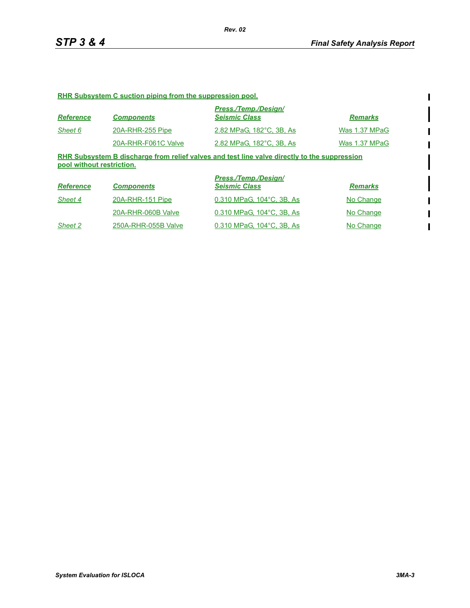$\begin{array}{c} \rule{0pt}{2.5ex} \rule{0pt}{2.5ex} \rule{0pt}{2.5ex} \rule{0pt}{2.5ex} \rule{0pt}{2.5ex} \rule{0pt}{2.5ex} \rule{0pt}{2.5ex} \rule{0pt}{2.5ex} \rule{0pt}{2.5ex} \rule{0pt}{2.5ex} \rule{0pt}{2.5ex} \rule{0pt}{2.5ex} \rule{0pt}{2.5ex} \rule{0pt}{2.5ex} \rule{0pt}{2.5ex} \rule{0pt}{2.5ex} \rule{0pt}{2.5ex} \rule{0pt}{2.5ex} \rule{0pt}{2.5ex} \rule{0$ 

#### **RHR Subsystem C suction piping from the suppression pool.**

| <b>Reference</b> | <b>Components</b>   | Press./Temp./Design/<br><b>Seismic Class</b> | <b>Remarks</b> |
|------------------|---------------------|----------------------------------------------|----------------|
| Sheet 6          | 20A-RHR-255 Pipe    | 2.82 MPaG, 182°C, 3B, As                     | Was 1.37 MPaG  |
|                  | 20A-RHR-F061C Valve | 2.82 MPaG. 182°C. 3B. As                     | Was 1.37 MPaG  |

**RHR Subsystem B discharge from relief valves and test line valve directly to the suppression pool without restriction.**

| <b>Reference</b> | <b>Components</b>   | Press./Temp./Design/<br><b>Seismic Class</b> | <b>Remarks</b> |
|------------------|---------------------|----------------------------------------------|----------------|
| Sheet 4          | 20A-RHR-151 Pipe    | 0.310 MPaG, 104°C, 3B, As                    | No Change      |
|                  | 20A-RHR-060B Valve  | 0.310 MPaG, 104°C, 3B, As                    | No Change      |
| Sheet 2          | 250A-RHR-055B Valve | 0.310 MPaG, 104°C, 3B, As                    | No Change      |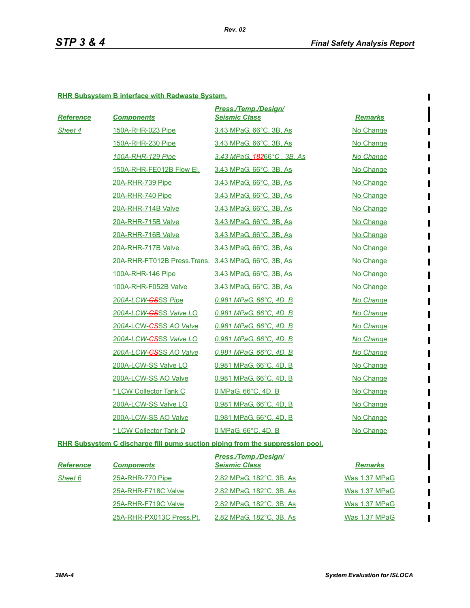$\begin{array}{c} \rule{0pt}{2.5ex} \rule{0pt}{2.5ex} \rule{0pt}{2.5ex} \rule{0pt}{2.5ex} \rule{0pt}{2.5ex} \rule{0pt}{2.5ex} \rule{0pt}{2.5ex} \rule{0pt}{2.5ex} \rule{0pt}{2.5ex} \rule{0pt}{2.5ex} \rule{0pt}{2.5ex} \rule{0pt}{2.5ex} \rule{0pt}{2.5ex} \rule{0pt}{2.5ex} \rule{0pt}{2.5ex} \rule{0pt}{2.5ex} \rule{0pt}{2.5ex} \rule{0pt}{2.5ex} \rule{0pt}{2.5ex} \rule{0$ 

#### **RHR Subsystem B interface with Radwaste System.**

| <b>Reference</b> | <b>Components</b>                                    | Press./Temp./Design/<br><b>Seismic Class</b> | <b>Remarks</b> |
|------------------|------------------------------------------------------|----------------------------------------------|----------------|
| Sheet 4          | 150A-RHR-023 Pipe                                    | 3.43 MPaG, 66°C, 3B, As                      | No Change      |
|                  | 150A-RHR-230 Pipe                                    | 3.43 MPaG, 66°C, 3B, As                      | No Change      |
|                  | 150A-RHR-129 Pipe                                    | 3.43 MPaG, 48266°C, 3B, As                   | No Change      |
|                  | 150A-RHR-FE012B Flow El.                             | 3.43 MPaG, 66°C, 3B, As                      | No Change      |
|                  | 20A-RHR-739 Pipe                                     | 3.43 MPaG, 66°C, 3B, As                      | No Change      |
|                  | 20A-RHR-740 Pipe                                     | 3.43 MPaG, 66°C, 3B, As                      | No Change      |
|                  | 20A-RHR-714B Valve                                   | 3.43 MPaG, 66°C, 3B, As                      | No Change      |
|                  | 20A-RHR-715B Valve                                   | 3.43 MPaG, 66°C, 3B, As                      | No Change      |
|                  | 20A-RHR-716B Valve                                   | 3.43 MPaG, 66°C, 3B, As                      | No Change      |
|                  | 20A-RHR-717B Valve                                   | 3.43 MPaG, 66°C, 3B, As                      | No Change      |
|                  | 20A-RHR-FT012B Press. Trans. 3.43 MPaG, 66°C, 3B, As |                                              | No Change      |
|                  | 100A-RHR-146 Pipe                                    | 3.43 MPaG, 66°C, 3B, As                      | No Change      |
|                  | 100A-RHR-F052B Valve                                 | 3.43 MPaG, 66°C, 3B, As                      | No Change      |
|                  | 200A-LCW-CSSS Pipe                                   | 0.981 MPaG, 66°C, 4D, B                      | No Change      |
|                  | 200A-LCW- <del>CS</del> SS Valve LO                  | 0.981 MPaG, 66°C, 4D, B                      | No Change      |
|                  | 200A-LCW-CSSS AO Valve                               | 0.981 MPaG, 66°C, 4D, B                      | No Change      |
|                  | 200A-LCW-CSSS Valve LO                               | 0.981 MPaG, 66°C, 4D, B                      | No Change      |
|                  | 200A-LCW-CSSS AO Valve                               | 0.981 MPaG, 66°C, 4D, B                      | No Change      |
|                  | 200A-LCW-SS Valve LO                                 | 0.981 MPaG, 66°C, 4D, B                      | No Change      |
|                  | 200A-LCW-SS AO Valve                                 | 0.981 MPaG, 66°C, 4D, B                      | No Change      |
|                  | * LCW Collector Tank C                               | 0 MPaG, 66°C, 4D, B                          | No Change      |
|                  | 200A-LCW-SS Valve LO                                 | 0.981 MPaG, 66°C, 4D, B                      | No Change      |
|                  | 200A-LCW-SS AO Valve                                 | 0.981 MPaG, 66°C, 4D, B                      | No Change      |
|                  | * LCW Collector Tank D                               | 0 MPaG, 66°C, 4D, B                          | No Change      |
|                  |                                                      |                                              |                |

**RHR Subsystem C discharge fill pump suction piping from the suppression pool.**

|                  |                          | <b>Press./Temp./Design/</b> |                |
|------------------|--------------------------|-----------------------------|----------------|
| <b>Reference</b> | <b>Components</b>        | <b>Seismic Class</b>        | <b>Remarks</b> |
| Sheet 6          | 25A-RHR-770 Pipe         | 2.82 MPaG, 182°C, 3B, As    | Was 1.37 MPaG  |
|                  | 25A-RHR-F718C Valve      | 2.82 MPaG, 182°C, 3B, As    | Was 1.37 MPaG  |
|                  | 25A-RHR-F719C Valve      | 2.82 MPaG, 182°C, 3B, As    | Was 1.37 MPaG  |
|                  | 25A-RHR-PX013C Press.Pt. | 2.82 MPaG, 182°C, 3B, As    | Was 1.37 MPaG  |

 $\blacksquare$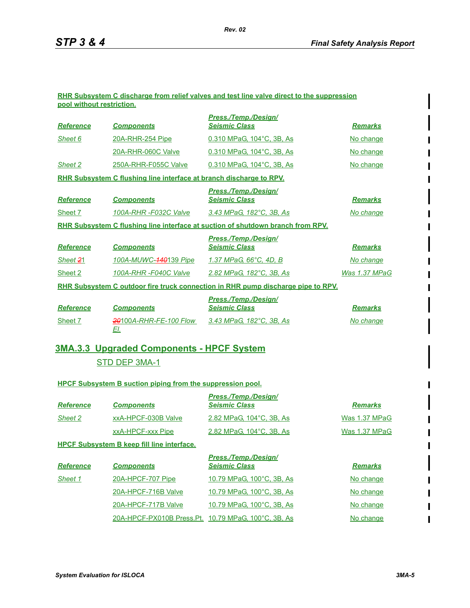#### **RHR Subsystem C discharge from relief valves and test line valve direct to the suppression pool without restriction.**

|                  |                                                                     | <b>Press./Temp./Design/</b>                                                             |                |
|------------------|---------------------------------------------------------------------|-----------------------------------------------------------------------------------------|----------------|
| <b>Reference</b> | <b>Components</b>                                                   | <b>Seismic Class</b>                                                                    | <b>Remarks</b> |
| Sheet 6          | <b>20A-RHR-254 Pipe</b>                                             | 0.310 MPaG, 104°C, 3B, As                                                               | No change      |
|                  | 20A-RHR-060C Valve                                                  | 0.310 MPaG, 104°C, 3B, As                                                               | No change      |
| Sheet 2          | 250A-RHR-F055C Valve                                                | 0.310 MPaG, 104°C, 3B, As                                                               | No change      |
|                  | RHR Subsystem C flushing line interface at branch discharge to RPV. |                                                                                         |                |
| <b>Reference</b> | <b>Components</b>                                                   | Press./Temp./Design/<br><b>Seismic Class</b>                                            | <b>Remarks</b> |
| Sheet 7          | 100A-RHR-F032C Valve                                                | 3.43 MPaG, 182°C, 3B, As                                                                | No change      |
|                  |                                                                     | <b>RHR Subsystem C flushing line interface at suction of shutdown branch from RPV.</b>  |                |
|                  |                                                                     | <b>Press./Temp./Design/</b>                                                             |                |
| <b>Reference</b> | <b>Components</b>                                                   | <b>Seismic Class</b>                                                                    | <b>Remarks</b> |
| Sheet 21         | 100A-MUWC-440139 Pipe                                               | 1.37 MPaG, 66°C, 4D, B                                                                  | No change      |
| Sheet 2          | 100A-RHR-F040C Valve                                                | 2.82 MPaG, 182°C, 3B, As                                                                | Was 1.37 MPaG  |
|                  |                                                                     | <u>RHR Subsystem C outdoor fire truck connection in RHR pump discharge pipe to RPV.</u> |                |
|                  |                                                                     | Press./Temp./Design/                                                                    |                |
| <b>Reference</b> | <b>Components</b>                                                   | <b>Seismic Class</b>                                                                    | <b>Remarks</b> |
| Sheet 7          | 20100A-RHR-FE-100 Flow<br>EI.                                       | 3.43 MPaG, 182°C, 3B, As                                                                | No change      |

# **3MA.3.3 Upgraded Components - HPCF System**

## STD DEP 3MA-1

#### **HPCF Subsystem B suction piping from the suppression pool.**

|                  |                                                   | Press./Temp./Design/      |                |
|------------------|---------------------------------------------------|---------------------------|----------------|
| <b>Reference</b> | <b>Components</b>                                 | <b>Seismic Class</b>      | <b>Remarks</b> |
| Sheet 2          | xxA-HPCF-030B Valve                               | 2.82 MPaG, 104°C, 3B, As  | Was 1.37 MPaG  |
|                  | xxA-HPCF-xxx Pipe                                 | 2.82 MPaG, 104°C, 3B, As  | Was 1.37 MPaG  |
|                  | <b>HPCF Subsystem B keep fill line interface.</b> |                           |                |
|                  |                                                   | Press./Temp./Design/      |                |
| <b>Reference</b> | <b>Components</b>                                 | <b>Seismic Class</b>      | <b>Remarks</b> |
| Sheet 1          | 20A-HPCF-707 Pipe                                 | 10.79 MPaG, 100°C, 3B, As | No change      |
|                  | 20A-HPCF-716B Valve                               | 10.79 MPaG, 100°C, 3B, As | No change      |
|                  | 20A-HPCF-717B Valve                               | 10.79 MPaG. 100°C. 3B. As | No change      |

20A-HPCF-PX010B Press.Pt. 10.79 MPaG, 100°C, 3B, As No change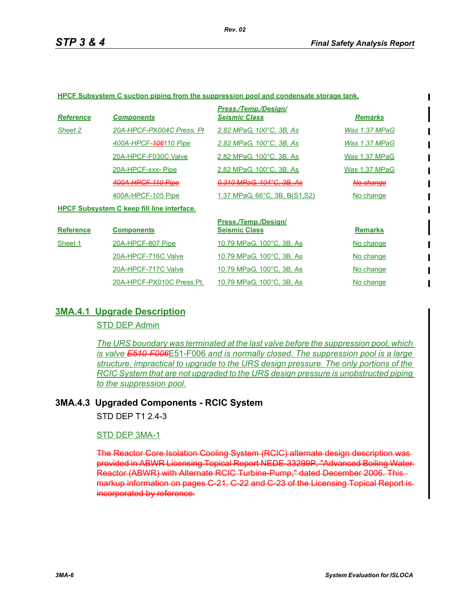#### **HPCF Subsystem C suction piping from the suppression pool and condensate storage tank.**

| <b>Reference</b> | <b>Components</b>                                 | Press./Temp./Desian/<br><b>Seismic Class</b> | <b>Remarks</b>       |
|------------------|---------------------------------------------------|----------------------------------------------|----------------------|
| Sheet 2          | 20A-HPCF-PX004C Press. Pt                         | 2.82 MPaG, 100°C, 3B, As                     | Was 1.37 MPaG        |
|                  | 400A-HPCF-406110 Pipe                             | 2.82 MPaG, 100°C, 3B, As                     | Was 1.37 MPaG        |
|                  | 20A-HPCF-F030C Valve                              | 2.82 MPaG, 100°C, 3B, As                     | Was 1.37 MPaG        |
|                  | 20A-HPCF-xxx-Pipe                                 | 2.82 MPaG, 100°C, 3B, As                     | Was 1.37 MPaG        |
|                  | <del>400A<u>-HPCF-110 Pipe</u></del>              | <del>0.310 MPaG. 104°C. 3B. As</del>         | <del>No change</del> |
|                  | 400A-HPCF-105 Pipe                                | 1.37 MPaG, 66°C, 3B, B(S1, S2)               | No change            |
|                  | <b>HPCF Subsystem C keep fill line interface.</b> |                                              |                      |
| <b>Reference</b> | <b>Components</b>                                 | Press./Temp./Design/<br><b>Seismic Class</b> | <b>Remarks</b>       |
| Sheet 1          | 20A-HPCF-807 Pipe                                 | 10.79 MPaG, 100°C, 3B, As                    | No change            |
|                  | 20A-HPCF-716C Valve                               | 10.79 MPaG. 100°C. 3B. As                    | No change            |
|                  | 20A-HPCF-717C Valve                               | 10.79 MPaG, 100°C, 3B, As                    | No change            |
|                  | 20A-HPCF-PX010C Press.Pt.                         | 10.79 MPaG, 100°C, 3B, As                    | No change            |

### **3MA.4.1 Upgrade Description**

STD DEP Admin

*The URS boundary was terminated at the last valve before the suppression pool, which is valve E510-F006*E51-F006 *and is normally closed. The suppression pool is a large structure, impractical to upgrade to the URS design pressure. The only portions of the RCIC System that are not upgraded to the URS design pressure is unobstructed piping to the suppression pool.*

### **3MA.4.3 Upgraded Components - RCIC System**

STD DFP T1 2 4-3

### STD DEP 3MA-1

The Reactor Core Isolation Cooling System (RCIC) alternate design description was provided in ABWR Licensing Topical Report NEDE-33299P, "Advanced Boiling Water Reactor (ABWR) with Alternate RCIC Turbine-Pump," dated December 2006. This markup information on pages C-21, C-22 and C-23 of the Licensing Topical Report is incorporated by reference.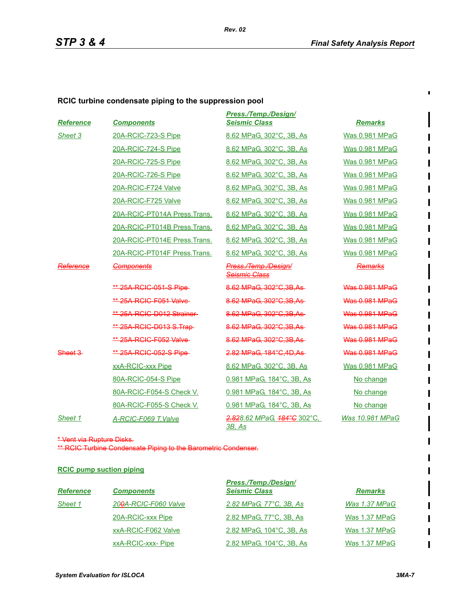$\blacksquare$ 

## **RCIC turbine condensate piping to the suppression pool**

| <b>Reference</b> | <b>Components</b>             | <b>Press./Temp./Design/</b><br><b>Seismic Class</b>                 | <b>Remarks</b>        |
|------------------|-------------------------------|---------------------------------------------------------------------|-----------------------|
| Sheet 3          | 20A-RCIC-723-S Pipe           | 8.62 MPaG, 302°C, 3B, As                                            | <b>Was 0.981 MPaG</b> |
|                  | 20A-RCIC-724-S Pipe           | 8.62 MPaG, 302°C, 3B, As                                            | <b>Was 0.981 MPaG</b> |
|                  | 20A-RCIC-725-S Pipe           | 8.62 MPaG. 302°C. 3B. As                                            | <b>Was 0.981 MPaG</b> |
|                  | 20A-RCIC-726-S Pipe           | 8.62 MPaG. 302°C. 3B. As                                            | <b>Was 0.981 MPaG</b> |
|                  | 20A-RCIC-F724 Valve           | 8.62 MPaG, 302°C, 3B, As                                            | <b>Was 0.981 MPaG</b> |
|                  | 20A-RCIC-F725 Valve           | 8.62 MPaG. 302°C. 3B. As                                            | <b>Was 0.981 MPaG</b> |
|                  | 20A-RCIC-PT014A Press.Trans.  | 8.62 MPaG, 302°C, 3B, As                                            | <b>Was 0.981 MPaG</b> |
|                  | 20A-RCIC-PT014B Press.Trans.  | 8.62 MPaG, 302°C, 3B, As                                            | Was 0.981 MPaG        |
|                  | 20A-RCIC-PT014E Press. Trans. | 8.62 MPaG. 302°C. 3B. As                                            | <b>Was 0.981 MPaG</b> |
|                  | 20A-RCIC-PT014F Press.Trans.  | 8.62 MPaG, 302°C, 3B, As                                            | <b>Was 0.981 MPaG</b> |
| Reference        | <b>Components</b>             | Press./Temp./Design/<br><del>Seismic Class</del>                    | Remarks               |
|                  | ** 25A RCIC 051 S Pipe        | 8.62 MPaG, 302°C, 3B, As-                                           | <b>Was 0.981 MPaG</b> |
|                  | ** 25A RCIC F051 Valve        | 8.62 MPaG, 302°C, 3B, As                                            | Was 0.981 MPaG        |
|                  | ** 25A RCIC-D012 Strainer     | 8.62 MPaG. 302°C.3B.As                                              | Was 0.981 MPaG        |
|                  | ** 25A RCIC-D013 S. Trap-     | 8.62 MPaG. 302°C.3B.As-                                             | <b>Was 0.981 MPaG</b> |
|                  | ** 25A RGIG F052 Valve        | 8.62 MPaG, 302°C, 3B, As-                                           | Was 0.981 MPaG        |
| Sheet 3          | ** 25A RCIC 052 S Pipe        | 2.82 MPaG. 184°C.4D.As                                              | <b>Was 0.981 MPaG</b> |
|                  | xxA-RCIC-xxx Pipe             | 8.62 MPaG, 302°C, 3B, As                                            | <b>Was 0.981 MPaG</b> |
|                  | 80A-RCIC-054-S Pipe           | 0.981 MPaG. 184°C. 3B. As                                           | No change             |
|                  | 80A-RCIC-F054-S Check V.      | 0.981 MPaG, 184°C, 3B, As                                           | No change             |
|                  | 80A-RCIC-F055-S Check V.      | 0.981 MPaG, 184°C, 3B, As                                           | No change             |
| Sheet 1          | A-RCIC-F069 T.Valve           | <del>2.82</del> 8.62 MPaG, <del>184°C</del> 302°C,<br><u>3B. As</u> | Was 10.981 MPaG       |

\* Vent via Rupture Disks.

\*\* RCIC Turbine Condensate Piping to the Barometric Condenser.

#### **RCIC pump suction piping**

| <b>Reference</b> | <b>Components</b>                 | <b>Press./Temp./Design/</b><br><b>Seismic Class</b> | <b>Remarks</b>       |
|------------------|-----------------------------------|-----------------------------------------------------|----------------------|
| Sheet 1          | 20 <del>0</del> A-RCIC-F060 Valve | 2.82 MPaG, 77°C, 3B, As                             | Was 1.37 MPaG        |
|                  | 20A-RCIC-xxx Pipe                 | 2.82 MPaG, 77°C, 3B, As                             | Was 1.37 MPaG        |
|                  | xxA-RCIC-F062 Valve               | 2.82 MPaG, 104°C, 3B, As                            | <b>Was 1.37 MPaG</b> |
|                  | xxA-RCIC-xxx- Pipe                | 2.82 MPaG, 104°C, 3B, As                            | Was 1.37 MPaG        |

П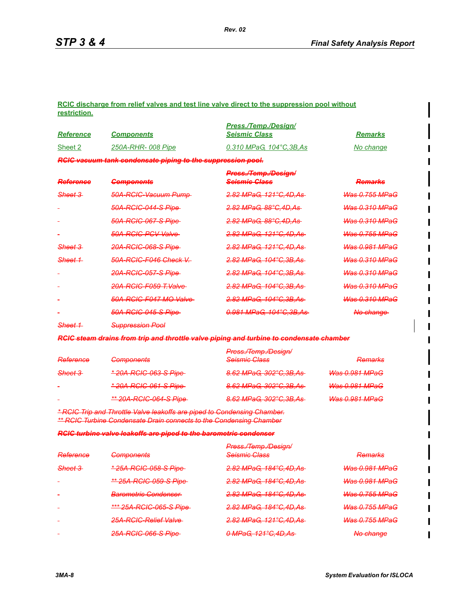#### **RCIC discharge from relief valves and test line valve direct to the suppression pool without restriction.**

|                    |                                                             | Press./Temp./Desian/      |                          |
|--------------------|-------------------------------------------------------------|---------------------------|--------------------------|
| <b>Reference</b>   | <b>Components</b>                                           | <b>Seismic Class</b>      | <b>Remarks</b>           |
| Sheet 2            | 250A-RHR-008 Pipe                                           | 0.310 MPaG, 104°C, 3B, As | No change                |
|                    | RCIC vacuum tank condensate piping to the suppression pool. |                           |                          |
|                    |                                                             | Press./Temp./Design/      |                          |
| Reference          | <b>Components</b>                                           | <b>Seismic Class</b>      | Domarke<br><b>ACTRES</b> |
| <del>Sheet 3</del> | 50A-RCIC-Vacuum Pump-                                       | 2.82 MPaG, 121°C, 4D, As- | <b>Was 0.755 MPaG</b>    |
|                    | 50A-RCIC-044-S Pipe-                                        | 2.82 MPaG, 88°C, 4D, As-  | <b>Was 0.310 MPaG</b>    |
|                    | 50A-RCIC-067-S Pipe-                                        | 2.82 MPaG, 88°C, 4D, As-  | <b>Was 0.310 MPaG</b>    |
|                    | 50A-RCIC-PCV Valve-                                         | 2.82 MPaG, 121°C, 4D, As  | <b>Was 0.755 MPaG</b>    |
| <del>Sheet 3</del> | 20A-RCIC-068-S Pipe-                                        | 2.82 MPaG, 121°C, 4D, As  | <b>Was 0.981 MPaG</b>    |
| Sheet 1            | 50A-RCIC-F046 Check V.                                      | 2.82 MPaG, 104°C, 3B, As- | <b>Was 0.310 MPaG</b>    |
|                    | 20A-RCIC-057-S Pipe-                                        | 2.82 MPaG, 104°C, 3B, As- | <b>Was 0.310 MPaG</b>    |
|                    | 20A-RCIC-F059 T.Valve-                                      | 2.82 MPaG, 104°C, 3B, As- | <b>Was 0.310 MPaG</b>    |
|                    | 50A-RCIC-F047 MO Valve-                                     | 2.82 MPaG, 104°C, 3B, As- | <b>Was 0.310 MPaG</b>    |
|                    | 50A-RCIC-045-S Pipe-                                        | 0.981 MPaG, 104°C, 3B, As | No change                |
| <del>Sheet 1</del> | <b>Suppression Pool</b>                                     |                           |                          |

*RCIC steam drains from trip and throttle valve piping and turbine to condensate chamber*

|                          |                                    | Press./Temp./Design/      |                                 |
|--------------------------|------------------------------------|---------------------------|---------------------------------|
| Reference                | Componente<br><del>oomoonomo</del> | <b>Seismic Class</b>      | Damarke<br><del>RC///d/AS</del> |
| Sheet 3                  | * 20A-RCIC-063-S Pipe              | 8.62 MPaG, 302°C, 3B, As  | <b>Was 0.981 MPaG</b>           |
| $\sim$                   | * 20A-RCIC-061-S Pipe-             | 8.62 MPaG, 302°C, 3B, As  | <b>Was 0.981 MPaG</b>           |
| $\overline{\phantom{0}}$ | <u>** 20A-RCIC-064-S Pipe-</u>     | 8.62 MPaG, 302°C, 3B, As- | <b>Was 0.981 MPaG</b>           |

*\* RCIC Trip and Throttle Valve leakoffs are piped to Condensing Chamber. \*\* RCIC Turbine Condensate Drain connects to the Condensing Chamber*

*RCIC turbine valve leakoffs are piped to the barometric condenser*

| * 25A-RCIC-058-S Pipe-<br>2.82 MPaG, 184°C, 4D, As<br><b>Was 0.981 MPaG</b><br><del>Sheet 3</del><br>** 25A-RCIC-059-S Pipe<br>2.82 MPaG, 184°C, 4D, As<br><b>Was 0.981 MPaG</b><br><del>2.82 MPaG, 184°C,4D,As</del><br><b>Was 0.755 MPaG</b><br><b>Barometric Condenser</b><br>۰ |  |
|------------------------------------------------------------------------------------------------------------------------------------------------------------------------------------------------------------------------------------------------------------------------------------|--|
|                                                                                                                                                                                                                                                                                    |  |
|                                                                                                                                                                                                                                                                                    |  |
|                                                                                                                                                                                                                                                                                    |  |
| 2.82 MPaG, 184°C, 4D, As-<br>*** 25A-RCIC-065-S Pipe<br><b>Was 0.755 MPaG</b>                                                                                                                                                                                                      |  |
| 2.82 MPaG, 121°C, 4D, As<br><b>Was 0.755 MPaG</b><br><del>25A-RCIC-Relief Valve</del><br>۰                                                                                                                                                                                         |  |
| 25A-RCIC-066-S Pipe<br>0 MPaG, 121°C, 4D, As-<br><del>No change</del><br>۳                                                                                                                                                                                                         |  |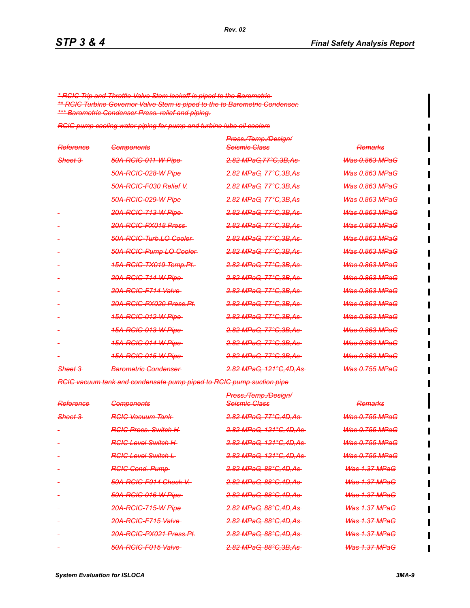*\* RCIC Trip and Throttle Valve Stem leakoff is piped to the Barometric \*\* RCIC Turbine Governor Valve Stem is piped to the to Barometric Condenser. \*\*\* Barometric Condenser Press. relief and piping.*

*RCIC pump cooling water piping for pump and turbine lube oil coolers*

| <b>Components</b>                   | Press./Temp./Design/<br><del>Seismic Class</del> | <b>Remarks</b>            |
|-------------------------------------|--------------------------------------------------|---------------------------|
| 50A-RCIC-011-W Pipe                 | 2.82 MPaG, 77°C, 3B, As-                         | <b>Was 0.863 MPaG</b>     |
| <del>50A-RCIC-028-W Pipe</del>      | 2.82 MPaG, 77°C.3B.As                            | <b>Was 0.863 MPaG</b>     |
| 50A-RCIC-F030 Relief V              | 2.82 MPaG, 77°C.3B.As                            | <b>Was 0.863 MPaG</b>     |
| 50A-RCIC-029-W Pipe-                | 2.82 MPaG, 77°C.3B.As                            | <b>Was 0.863 MPaG</b>     |
| <del>20A-RCIC-713-W Pipe</del>      | <del>2.82 MPaG, 77°C.3B.As</del>                 | <del>Was 0.863 MPaG</del> |
| <del>20A-RCIC-PX018 Press</del>     | 2.82 MPaG, 77°C.3B.As                            | <del>Was 0.863 MPaG</del> |
| 50A-RCIC-Turb.LO-Cooler             | <del>2.82 MPaG, 77°C,3B,As</del>                 | <del>Was 0.863 MPaG</del> |
| 50A-RCIC-Pump LO-Cooler-            | <del>2.82 MPaG. 77°C.3B.As</del>                 | <del>Was 0.863 MPaG</del> |
| <del>15A-RCIC-TX019 Temp.Pt.</del>  | <del>2.82 MPaG, 77°C.3B.As</del>                 | <del>Was 0.863 MPaG</del> |
| <del>20A-RCIC-714-W Pipe</del>      | <del>2.82 MPaG. 77°C.3B.As</del>                 | <del>Was 0.863 MPaG</del> |
| 20A-RCIC-F714 Valve                 | 2.82 MPaG, 77°C.3B.As                            | <del>Was 0.863 MPaG</del> |
| <del>20A-RCIC-PX020 Press.Pt.</del> | <del>2.82 MPaG. 77°C.3B.As</del>                 | <b>Was 0.863 MPaG</b>     |
| <del>15A-RCIC-012-W Pipe</del>      | <del>2.82 MPaG, 77°C.3B.As</del>                 | <del>Was 0.863 MPaG</del> |
| <del>15A-RCIC-013-W Pipe</del>      | <del>2.82 MPaG. 77°C.3B.As</del>                 | <del>Was 0.863 MPaG</del> |
| <u>15A-RCIC-014-W Pipe-</u>         | <del>2.82 MPaG, 77°C.3B.As</del>                 | <del>Was 0.863 MPaG</del> |
| <del>15A-RCIC-015-W Pipe</del>      | <del>2.82 MPaG. 77°C.3B.As</del>                 | <del>Was 0.863 MPaG</del> |
| <b>Barometric Condenser</b>         | <u>2.82 MPaG. 121°C.4D.As-</u>                   | <del>Was 0.755 MPaG</del> |
|                                     |                                                  |                           |

*Rev. 02*

*RCIC vacuum tank and condensate pump piped to RCIC pump suction pipe*

|                     |                                     | Press./Temp./Design/              |                           |
|---------------------|-------------------------------------|-----------------------------------|---------------------------|
| Reference           | <del>Components</del>               | <b>Seismic Class</b>              | <del>Remarks</del>        |
| <del>Sheet 3-</del> | <del>RCIC Vacuum Tank-</del>        | 2.82 MPaG, 77°C, 4D, As-          | <b>Was 0.755 MPaG</b>     |
|                     | <b>RGIC Press. Switch H</b>         | 2.82 MPaG, 121°C, 4D, As          | <b>Was 0.755 MPaG</b>     |
|                     | <b>RGIG Level Switch H</b>          | <del>2.82 MPaG, 121°C,4D,As</del> | <del>Was 0.755 MPaG</del> |
|                     | <del>RCIC Level Switch L</del>      | <del>2.82 MPaG, 121°C,4D,As</del> | <del>Was 0.755 MPaG</del> |
|                     | <b>RGIG Cond. Pump-</b>             | <del>2.82 MPaG, 88°C,4D,As</del>  | <del>Was 1.37 MPaG</del>  |
|                     | <del>50A-RCIC-F014 Check V.</del>   | 2.82 MPaG, 88°C, 4D, As           | <del>Was 1.37 MPaG</del>  |
|                     | <b>50A-RCIC-016-W Pipe</b>          | 2.82 MPaG, 88°C, 4D, As           | <del>Was 1.37 MPaG</del>  |
|                     | 20A-RCIC-715-W Pipe                 | 2.82 MPaG, 88°C, 4D, As           | <del>Was 1.37 MPaG</del>  |
|                     | 20A-RCIC-F715 Valve                 | 2.82 MPaG, 88°C, 4D, As           | <del>Was 1.37 MPaG</del>  |
|                     | <del>20A-RCIC-PX021 Press.Pt.</del> | 2.82 MPaG, 88°C, 4D, As-          | <b>Was 1.37 MPaG</b>      |
|                     | 50A-RCIC-F015 Valve                 | 2.82 MPaG, 88°C, 3B, As-          | <b>Was 1.37 MPaG</b>      |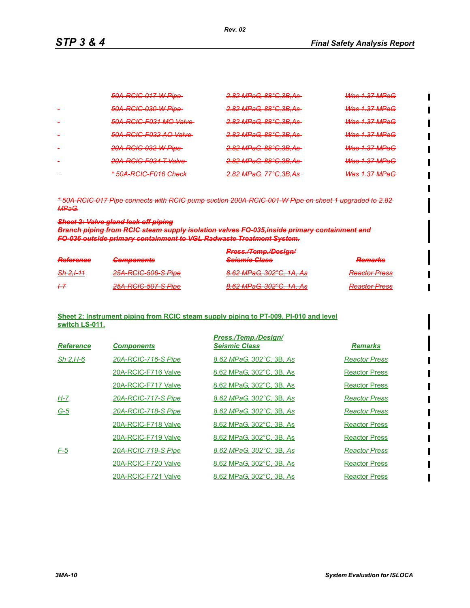Π

| 50A-RCIC-017-W Pipe                                                          | 2.82 MPaG, 88°C, 3B, As                                     | <del>Was 1.37 MPaG</del>                                        |
|------------------------------------------------------------------------------|-------------------------------------------------------------|-----------------------------------------------------------------|
| <del>50A-RCIC-030-W Pipe</del>                                               | <del>2.82 MPaG, 88°C, 3B, As</del>                          | <b>Was 1.37 MPaG</b>                                            |
| 50A-RCIC-F031 MO Valve                                                       | 2.82 MPaG, 88°C, 3B, As                                     | $M_{\odot}$ of 1.37 $MD_{\odot}$ $C$<br><del>was nor wrac</del> |
| 50A-RCIC-F032 AO Valve                                                       | 2.82 MPaC 88°C 3R Ac<br><del>2.02 Mr aw. 00 0.00./10</del>  | $M_{2c}$ 1.37 $MD_{2}$<br><del>was nor wrac</del>               |
| <del>20A-RCIC-032-W Pipe</del>                                               | 2.82 MPaG, 88°C, 3B, As                                     | <del>Was 1.37 MPaG</del>                                        |
| <del>20A-RCIC-F034 T.Valve</del>                                             | 2.82 MPaC 88°C 3R Ac<br><del>2.02 Mr aw. 00 0.00./10</del>  | <del>Was 1.37 MPaG</del>                                        |
| <u>* 500 DCIC F016 Chack</u><br><del>00/17 No.10 1 0 1 0 1 0 0 1 0 0 m</del> | $2.82$ MPaC 77°C 3R Ac<br><del>2.02 Mraw, 11 6.00,110</del> | $M_{\odot}$ of 1.37 $MD_{\odot}$ $C$<br><del>was nor mraw</del> |

*\* 50A-RCIC-017 Pipe connects with RCIC pump suction 200A-RCIC-001-W Pipe on sheet 1 upgraded to 2.82 MPaG.*

#### *Sheet 2: Valve gland leak off piping*

*Branch piping from RCIC steam supply isolation valves FO-035,inside primary containment and FO-036 outside primary containment to VGL Radwaste Treatment System.*

|                                          |                                                     | <b>Droce Tomp Docinni</b><br><u> Просел воннал заснени</u>                     |                                                 |
|------------------------------------------|-----------------------------------------------------|--------------------------------------------------------------------------------|-------------------------------------------------|
| <b>Doforonce</b><br><del>ncierence</del> | Componente<br><b>A TARABATA PARA PERSONA DE CON</b> | <b>Colemia Class</b><br><b>CATION INTO THE CAP</b>                             | Domarke<br><b>EAST FELSE FAST</b>               |
| Sh 2, 111                                | 25A-RCIC-506-S Pipe                                 | $R$ 62 MP <sub>2</sub> C 302°C 1A Ac<br><del>0.02 Mr av. 002 U. IM. Ao</del>   | <b>Departor Drace</b><br><del>ncauw ricoo</del> |
| +7                                       | 25A-RCIC-507-S Pipe                                 | $R$ 62 MP <sub>2</sub> C 302°C 1A Ac<br><del>0.02 Mr av. 302 v. 1/1, /15</del> | <b>Deactor Drace</b><br><del>100001 11000</del> |

#### **Sheet 2: Instrument piping from RCIC steam supply piping to PT-009, PI-010 and level switch LS-011.**

| <b>Reference</b> | <b>Components</b>   | Press./Temp./Desian/<br><b>Seismic Class</b> | <b>Remarks</b>       |
|------------------|---------------------|----------------------------------------------|----------------------|
| $Sh$ 2, H-6      | 20A-RCIC-716-S Pipe | 8.62 MPaG, 302°C, 3B, As                     | <b>Reactor Press</b> |
|                  | 20A-RCIC-F716 Valve | 8.62 MPaG, 302°C, 3B, As                     | <b>Reactor Press</b> |
|                  | 20A-RCIC-F717 Valve | 8.62 MPaG, 302°C, 3B, As                     | <b>Reactor Press</b> |
| H-7              | 20A-RCIC-717-S Pipe | 8.62 MPaG, 302°C, 3B, As                     | <b>Reactor Press</b> |
| $G-5$            | 20A-RCIC-718-S Pipe | 8.62 MPaG, 302°C, 3B, As                     | <b>Reactor Press</b> |
|                  | 20A-RCIC-F718 Valve | 8.62 MPaG, 302°C, 3B, As                     | <b>Reactor Press</b> |
|                  | 20A-RCIC-F719 Valve | 8.62 MPaG, 302°C, 3B, As                     | <b>Reactor Press</b> |
| $F-5$            | 20A-RCIC-719-S Pipe | 8.62 MPaG, 302°C, 3B, As                     | <b>Reactor Press</b> |
|                  | 20A-RCIC-F720 Valve | 8.62 MPaG, 302°C, 3B, As                     | <b>Reactor Press</b> |
|                  | 20A-RCIC-F721 Valve | 8.62 MPaG, 302°C, 3B, As                     | <b>Reactor Press</b> |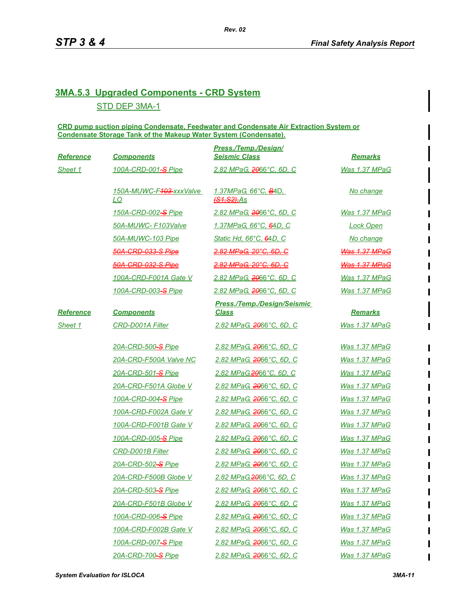## **3MA.5.3 Upgraded Components - CRD System** STD DEP 3MA-1

**CRD pump suction piping Condensate, Feedwater and Condensate Air Extraction System or Condensate Storage Tank of the Makeup Water System (Condensate).**

| Reference        | <b>Components</b>             | Press./Temp./Design/<br><b>Seismic Class</b>             | <b>Remarks</b>        |
|------------------|-------------------------------|----------------------------------------------------------|-----------------------|
| Sheet 1          | 100A-CRD-001-S Pipe           | 2.82 MPaG, 2066°C, 6D, C                                 | Was 1.37 MPaG         |
|                  | 150A-MUWC-F403-xxxValve<br>LO | 1.37MPaG, 66°C, <del>B</del> 4D,<br><b>(S1, S2)</b> , As | No change             |
|                  | 150A-CRD-002-S Pipe           | 2.82 MPaG, 2066°C, 6D, C                                 | Was 1.37 MPaG         |
|                  | 50A-MUWC- F103Valve           | 1.37MPaG, 66°C, 64D, C                                   | <b>Lock Open</b>      |
|                  | 50A-MUWC-103 Pipe             | Static Hd, 66°C, 64D, C                                  | No change             |
|                  | <del>50A-CRD-033-S Pipe</del> | <del>2.82 MPaG. 20°C. 6D. C</del>                        | <b>Was 1.37 MPaG</b>  |
|                  | 50A-CRD-032-S Pipe            | <del>2.82 MPaG, 20°C, 6D, C</del>                        | <b>Was 1.37 MPaG</b>  |
|                  | 100A-CRD-F001A Gate V         | 2.82 MPaG, 2066°C, 6D, C                                 | <b>Was 1.37 MPaG</b>  |
|                  | 100A-CRD-003-S Pipe           | 2.82 MPaG, 2066°C, 6D, C                                 | Was 1.37 MPaG         |
| <b>Reference</b> | <b>Components</b>             | <b>Press./Temp./Design/Seismic</b><br><b>Class</b>       | <b>Remarks</b>        |
| Sheet 1          | <b>CRD-D001A Filter</b>       | 2.82 MPaG, 2066°C, 6D, C                                 | Was 1.37 MPaG         |
|                  | 20A-CRD-500-S Pipe            | 2.82 MPaG, 2066°C, 6D, C                                 | Was 1.37 MPaG         |
|                  | 20A-CRD-F500A Valve NC        | 2.82 MPaG, 2066°C, 6D, C                                 | Was 1.37 MPaG         |
|                  | 20A-CRD-501-S Pipe            | 2.82 MPaG, 2066°C, 6D, C                                 | <b>Was 1.37 MPaG</b>  |
|                  | 20A-CRD-F501A Globe V         | 2.82 MPaG, 2066°C, 6D, C                                 | <b>Was 1.37 MPaG</b>  |
|                  | 100A-CRD-004-S Pipe           | 2.82 MPaG, 2066°C, 6D, C                                 | <u>Was 1.37 MPaG</u>  |
|                  | 100A-CRD-F002A Gate V         | 2.82 MPaG, 2066°C, 6D, C                                 | <b>Was 1.37 MPaG</b>  |
|                  | 100A-CRD-F001B Gate V         | 2.82 MPaG, 2066°C, 6D, C                                 | <b>Was 1.37 MPaG</b>  |
|                  | 100A-CRD-005-S Pipe           | 2.82 MPaG, 2066°C, 6D, C                                 | Was 1.37 MPaG         |
|                  | <b>CRD-D001B Filter</b>       | 2.82 MPaG, 2066°C, 6D, C                                 | <b>Was 1.37 MPaG</b>  |
|                  | 20A-CRD-502-S Pipe            | 2.82 MPaG, 2066°C, 6D, C                                 | <b>Was 1.37 MPaG</b>  |
|                  | 20A-CRD-F500B Globe V         | <u>2.82 MPaG, 2066°C, 6D, C</u>                          | <u>Was 1.37 MPaG</u>  |
|                  | 20A-CRD-503-S Pipe            | <u>2.82 MPaG, 2066°C, 6D, C</u>                          | Was 1.37 MPaG         |
|                  | 20A-CRD-F501B Globe V         | 2.82 MPaG, 2066°C, 6D, C                                 | <u> Was 1.37 MPaG</u> |
|                  | <u>100A-CRD-006-S Pipe</u>    | <u>2.82 MPaG, 2066°C, 6D, C</u>                          | <u>Was 1.37 MPaG</u>  |
|                  | 100A-CRD-F002B Gate V         | <u>2.82 MPaG, 2066°C, 6D, C</u>                          | <u> Was 1.37 MPaG</u> |
|                  | <u>100A-CRD-007-S Pipe</u>    | <u>2.82 MPaG, 2066°C, 6D, C</u>                          | <b>Was 1.37 MPaG</b>  |
|                  | 20A-CRD-700-S Pipe            | <u>2.82 MPaG, 2066°C, 6D, C</u>                          | <u>Was 1.37 MPaG</u>  |

 $\blacksquare$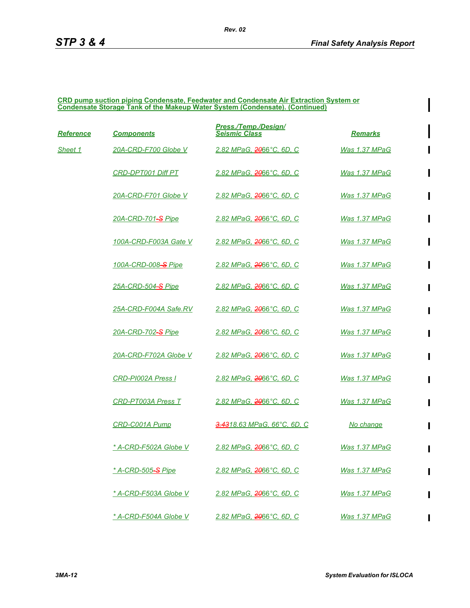$\blacksquare$ 

 $\blacksquare$ 

 $\blacksquare$ 

 $\blacksquare$ 

 $\blacksquare$ 

 $\blacksquare$ 

 $\blacksquare$ 

П

 $\blacksquare$ 

 $\blacksquare$ 

#### **CRD pump suction piping Condensate, Feedwater and Condensate Air Extraction System or Condensate Storage Tank of the Makeup Water System (Condensate). (Continued)**

| <b>Reference</b> | <b>Components</b>                    | Press./Temp./Design/<br><b>Seismic Class</b> | <b>Remarks</b>        |
|------------------|--------------------------------------|----------------------------------------------|-----------------------|
| Sheet 1          | 20A-CRD-F700 Globe V                 | 2.82 MPaG, 2066°C, 6D, C                     | <b>Was 1.37 MPaG</b>  |
|                  | <b>CRD-DPT001 Diff PT</b>            | 2.82 MPaG, 2066°C, 6D, C                     | Was 1.37 MPaG         |
|                  | 20A-CRD-F701 Globe V                 | 2.82 MPaG, <del>20</del> 66°C, 6D, C         | Was 1.37 MPaG         |
|                  | 20A-CRD-701-S Pipe                   | 2.82 MPaG, <del>20</del> 66°C, 6D, C         | Was 1.37 MPaG         |
|                  | 100A-CRD-F003A Gate V                | 2.82 MPaG, 2066°C, 6D, C                     | Was 1.37 MPaG         |
|                  | 100A-CRD-008-S Pipe                  | 2.82 MPaG, 2066°C, 6D, C                     | Was 1.37 MPaG         |
|                  | 25A-CRD-504-S Pipe                   | <u>2.82 MPaG, 2066°C, 6D, C</u>              | <u>Was 1.37 MPaG</u>  |
|                  | 25A-CRD-F004A Safe.RV                | 2.82 MPaG, <del>20</del> 66°C, 6D, C         | <u>Was 1.37 MPaG</u>  |
|                  | 20A-CRD-702-S Pipe                   | <u>2.82 MPaG, 2066°C, 6D, C</u>              | <u>Was 1.37 MPaG</u>  |
|                  | 20A-CRD-F702A Globe V                | 2.82 MPaG, 2066°C, 6D, C                     | Was 1.37 MPaG         |
|                  | CRD-PI002A Press I                   | 2.82 MPaG, 2066°C, 6D, C                     | Was 1.37 MPaG         |
|                  | <b>CRD-PT003A Press T</b>            | <u>2.82 MPaG, 2066°C, 6D, C</u>              | <b>Was 1.37 MPaG</b>  |
|                  | CRD-C001A Pump                       | <u>3.4318.63 MPaG, 66°C, 6D, C</u>           | <u>No change</u>      |
|                  | * A-CRD-F502A Globe V                | 2.82 MPaG, <del>20</del> 66°C, 6D, C         | Was 1.37 MPaG         |
|                  | <u>* A-CRD-505<del>-S</del> Pipe</u> | 2.82 MPaG. <del>20</del> 66°C. 6D. C         | <b>Was 1.37 MPaG</b>  |
|                  | * A-CRD-F503A Globe V                | 2.82 MPaG, 2066°C, 6D, C                     | <u>Was 1.37 MPaG</u>  |
|                  | * A-CRD-F504A Globe V                | <u> 2.82 MPaG, 2066°С, 6D, С</u>             | <u> Was 1.37 MPaG</u> |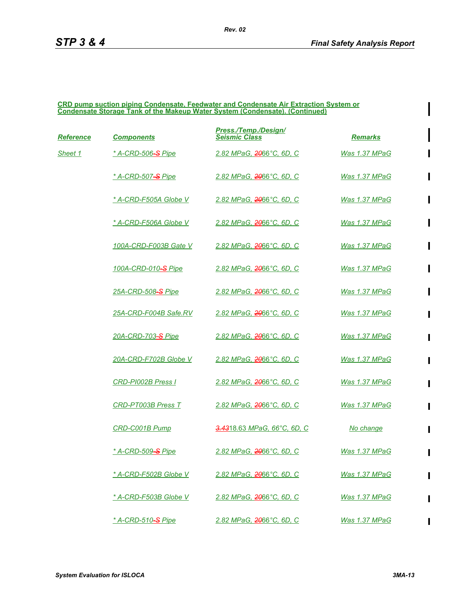#### **CRD pump suction piping Condensate, Feedwater and Condensate Air Extraction System or Condensate Storage Tank of the Makeup Water System (Condensate). (Continued)**

| <u>Reference</u> | <b>Components</b>                    | Press./Temp./Design/<br><b>Seismic Class</b> | <b>Remarks</b>       |
|------------------|--------------------------------------|----------------------------------------------|----------------------|
| Sheet 1          | <u>* A-CRD-506<del>-S</del> Pipe</u> | 2.82 MPaG, 2066°C, 6D, C                     | <b>Was 1.37 MPaG</b> |
|                  | * A-CRD-507 <del>-S</del> Pipe       | 2.82 MPaG, <del>20</del> 66°C, 6D, C         | Was 1.37 MPaG        |
|                  | * A-CRD-F505A Globe V                | <u> 2.82 MPaG, <del>20</del>66°С, 6D, С</u>  | <b>Was 1.37 MPaG</b> |
|                  | * A-CRD-F506A Globe V                | 2.82 MPaG, <del>20</del> 66°C, 6D, C         | Was 1.37 MPaG        |
|                  | 100A-CRD-F003B Gate V                | 2.82 MPaG, 2066°C, 6D, C                     | Was 1.37 MPaG        |
|                  | <u>100A-CRD-010-S Pipe</u>           | <u>2.82 MPaG, 2066°C, 6D, C</u>              | <u>Was 1.37 MPaG</u> |
|                  | 25A-CRD-508-S Pipe                   | <u>2.82 MPaG, 2066°C, 6D, C</u>              | <b>Was 1.37 MPaG</b> |
|                  | 25A-CRD-F004B Safe.RV                | 2.82 MPaG, <del>20</del> 66°C, 6D, C         | Was 1.37 MPaG        |
|                  | 20A-CRD-703-S Pipe                   | 2.82 MPaG, <del>20</del> 66°C, 6D, C         | Was 1.37 MPaG        |
|                  | 20A-CRD-F702B Globe V                | 2.82 MPaG, <del>20</del> 66°C, 6D, C         | Was 1.37 MPaG        |
|                  | <b>CRD-PI002B Press I</b>            | <u> 2.82 MPaG, <del>20</del>66°C, 6D, C</u>  | Was 1.37 MPaG        |
|                  | CRD-PT003B Press T                   | 2.82 MPaG, 2066°C, 6D, C                     | Was 1.37 MPaG        |
|                  | CRD-C001B Pump                       | <del>3.43</del> 18.63 MPaG, 66°C, 6D, C      | No change            |
|                  | * A-CRD-509 <del>-S</del> Pipe       | 2.82 MPaG, 2066°C, 6D, C                     | Was 1.37 MPaG        |
|                  | * A-CRD-F502B Globe V                | 2.82 MPaG, <del>20</del> 66°C, 6D, C         | Was 1.37 MPaG        |
|                  | * A-CRD-F503B Globe V                | 2.82 MPaG, 2066°C, 6D, C                     | <b>Was 1.37 MPaG</b> |
|                  | <u>* A-CRD-510<del>-S</del> Pipe</u> | <u>2.82 MPaG, 2066°C, 6D, C</u>              | Was 1.37 MPaG        |

П

 $\blacksquare$ 

 $\mathbf I$ 

П

 $\blacksquare$ 

 $\blacksquare$ 

П

П

П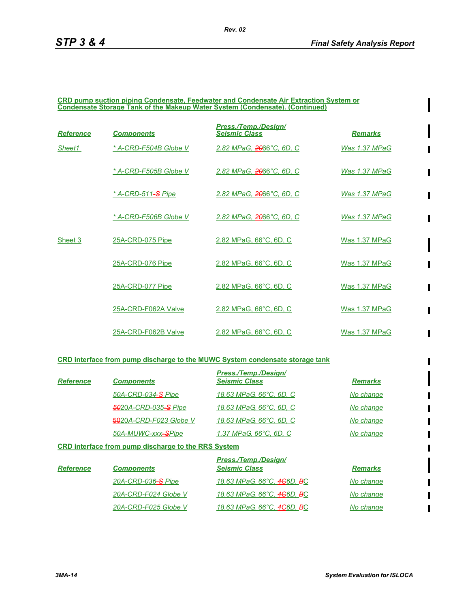П

 $\blacksquare$ 

 $\blacksquare$ 

 $\blacksquare$ 

 $\blacksquare$ 

#### **CRD pump suction piping Condensate, Feedwater and Condensate Air Extraction System or Condensate Storage Tank of the Makeup Water System (Condensate). (Continued)**

| Reference | <b>Components</b>         | Press./Temp./Design/<br><b>Seismic Class</b> | <b>Remarks</b> |
|-----------|---------------------------|----------------------------------------------|----------------|
| Sheet1    | * A-CRD-F504B Globe V     | 2.82 MPaG, 2066°C, 6D, C                     | Was 1.37 MPaG  |
|           | * A-CRD-F505B Globe V     | 2.82 MPaG, 2066°C, 6D, C                     | Was 1.37 MPaG  |
|           | <u>* A-CRD-511-S Pipe</u> | 2.82 MPaG. 2066°C. 6D. C                     | Was 1.37 MPaG  |
|           | * A-CRD-F506B Globe V     | 2.82 MPaG. 2066°C. 6D. C                     | Was 1.37 MPaG  |
| Sheet 3   | 25A-CRD-075 Pipe          | 2.82 MPaG, 66°C, 6D, C                       | Was 1.37 MPaG  |
|           | 25A-CRD-076 Pipe          | 2.82 MPaG, 66°C, 6D, C                       | Was 1.37 MPaG  |
|           | 25A-CRD-077 Pipe          | 2.82 MPaG, 66°C, 6D, C                       | Was 1.37 MPaG  |
|           | 25A-CRD-F062A Valve       | 2.82 MPaG, 66°C, 6D, C                       | Was 1.37 MPaG  |
|           | 25A-CRD-F062B Valve       | 2.82 MPaG, 66°C, 6D, C                       | Was 1.37 MPaG  |

#### **CRD interface from pump discharge to the MUWC System condensate storage tank**

| <b>Reference</b> | <b>Components</b>           | <b>Press./Temp./Design/</b><br><b>Seismic Class</b> | <b>Remarks</b> |
|------------------|-----------------------------|-----------------------------------------------------|----------------|
|                  | 50A-CRD-034-S Pipe          | 18.63 MPaG, 66°C, 6D, C                             | No change      |
|                  | <b>5020A-CRD-035-S Pipe</b> | 18.63 MPaG, 66°C, 6D, C                             | No change      |
|                  | 5020A-CRD-F023 Globe V      | 18.63 MPaG, 66°C, 6D, C                             | No change      |
|                  | 50A-MUWC-xxx-SPipe          | 1.37 MPaG, 66°C, 6D, C                              | No change      |

#### **CRD interface from pump discharge to the RRS System**

| <b>Reference</b> | <b>Components</b>    | Press./Temp./Design/<br><b>Seismic Class</b>        | <b>Remarks</b> |
|------------------|----------------------|-----------------------------------------------------|----------------|
|                  | 20A-CRD-036-S Pipe   | 18.63 MPaG, 66°C, 4 <del>C</del> 6D, <del>B</del> C | No change      |
|                  | 20A-CRD-F024 Globe V | 18.63 MPaG, 66°C, 4G6D, BC                          | No change      |
|                  | 20A-CRD-F025 Globe V | 18.63 MPaG, 66°C, 4 <del>C</del> 6D, <del>B</del> C | No change      |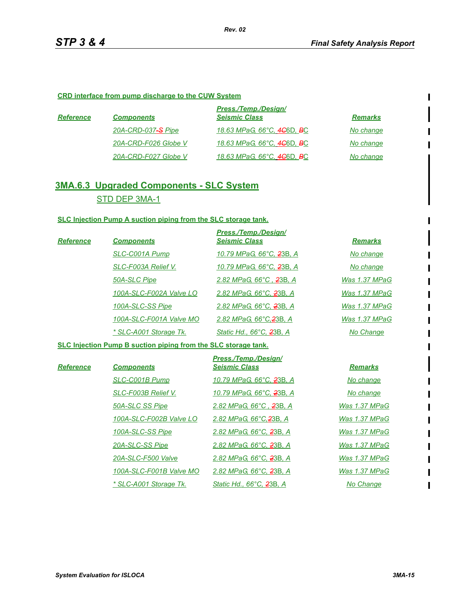$\blacksquare$ 

#### **CRD interface from pump discharge to the CUW System**

| <b>Reference</b> | <b>Components</b>    | <b>Press./Temp./Design/</b><br><b>Seismic Class</b> | <b>Remarks</b> |
|------------------|----------------------|-----------------------------------------------------|----------------|
|                  | 20A-CRD-037-S Pipe   | 18.63 MPaG, 66°C, 4 <del>C</del> 6D, BC             | No change      |
|                  | 20A-CRD-F026 Globe V | 18.63 MPaG, 66°C, 4 <del>C</del> 6D, <del>B</del> C | No change      |
|                  | 20A-CRD-F027 Globe V | 18.63 MPaG, 66°C, 4 <del>C</del> 6D, BC             | No change      |

## **3MA.6.3 Upgraded Components - SLC System** STD DEP 3MA-1

#### **SLC Injection Pump A suction piping from the SLC storage tank.**

|           |                         | Press./Temp./Design/                 |                |
|-----------|-------------------------|--------------------------------------|----------------|
| Reference | <b>Components</b>       | <b>Seismic Class</b>                 | <b>Remarks</b> |
|           | SLC-C001A Pump          | 10.79 MPaG, 66°C, 23B, A             | No change      |
|           | SLC-F003A Relief V.     | 10.79 MPaG, 66°C, <del>2</del> 3B, A | No change      |
|           | 50A-SLC Pipe            | 2.82 MPaG, 66°C, 23B, A              | Was 1.37 MPaG  |
|           | 100A-SLC-F002A Valve LO | 2.82 MPaG, 66°C, 23B, A              | Was 1.37 MPaG  |
|           | 100A-SLC-SS Pipe        | 2.82 MPaG, 66°C, 23B, A              | Was 1.37 MPaG  |
|           | 100A-SLC-F001A Valve MO | 2.82 MPaG, 66°C, 23B, A              | Was 1.37 MPaG  |
|           | * SLC-A001 Storage Tk.  | Static Hd., 66°C, 23B, A             | No Change      |

#### **SLC Injection Pump B suction piping from the SLC storage tank.**

|                  |                         | Press./Temp./Design/                 |                |
|------------------|-------------------------|--------------------------------------|----------------|
| <b>Reference</b> | <b>Components</b>       | <b>Seismic Class</b>                 | <b>Remarks</b> |
|                  | SLC-C001B Pump          | 10.79 MPaG, 66°C, <del>2</del> 3B, A | No change      |
|                  | SLC-F003B Relief V.     | 10.79 MPaG, 66°C, <del>2</del> 3B, A | No change      |
|                  | 50A-SLC SS Pipe         | 2.82 MPaG, 66°C, 23B, A              | Was 1.37 MPaG  |
|                  | 100A-SLC-F002B Valve LO | 2.82 MPaG, 66°C, 23B, A              | Was 1.37 MPaG  |
|                  | 100A-SLC-SS Pipe        | 2.82 MPaG, 66°C, 23B, A              | Was 1.37 MPaG  |
|                  | 20A-SLC-SS Pipe         | 2.82 MPaG, 66°C, 23B, A              | Was 1.37 MPaG  |
|                  | 20A-SLC-F500 Valve      | 2.82 MPaG, 66°C, 23B, A              | Was 1.37 MPaG  |
|                  | 100A-SLC-F001B Valve MO | 2.82 MPaG, 66°C, 23B, A              | Was 1.37 MPaG  |
|                  | * SLC-A001 Storage Tk.  | Static Hd., 66°C, 23B, A             | No Change      |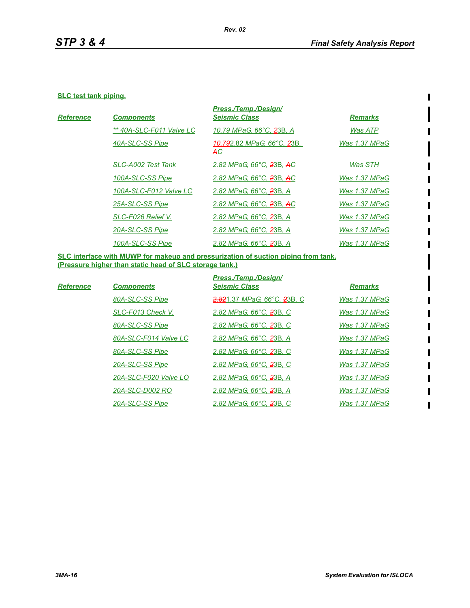$\begin{array}{c} \rule{0pt}{2.5ex} \rule{0pt}{2.5ex} \rule{0pt}{2.5ex} \rule{0pt}{2.5ex} \rule{0pt}{2.5ex} \rule{0pt}{2.5ex} \rule{0pt}{2.5ex} \rule{0pt}{2.5ex} \rule{0pt}{2.5ex} \rule{0pt}{2.5ex} \rule{0pt}{2.5ex} \rule{0pt}{2.5ex} \rule{0pt}{2.5ex} \rule{0pt}{2.5ex} \rule{0pt}{2.5ex} \rule{0pt}{2.5ex} \rule{0pt}{2.5ex} \rule{0pt}{2.5ex} \rule{0pt}{2.5ex} \rule{0$ 

 $\blacksquare$ 

#### **SLC test tank piping.**

|                  |                           | Press./Temp./Desian/                 |                |
|------------------|---------------------------|--------------------------------------|----------------|
| <b>Reference</b> | <b>Components</b>         | <b>Seismic Class</b>                 | <b>Remarks</b> |
|                  | ** 40A-SLC-F011 Valve LC  | 10.79 MPaG, 66°C, <del>2</del> 3B, A | Was ATP        |
|                  | 40A-SLC-SS Pipe           | 40.792.82 MPaG, 66°C, 23B,<br>AC     | Was 1.37 MPaG  |
|                  | <b>SLC-A002 Test Tank</b> | 2.82 MPaG, 66°C, 23B, AC             | Was STH        |
|                  | 100A-SLC-SS Pipe          | 2.82 MPaG, 66°C, 23B, AC             | Was 1.37 MPaG  |
|                  | 100A-SLC-F012 Valve LC    | 2.82 MPaG, 66°C, 23B, A              | Was 1.37 MPaG  |
|                  | 25A-SLC-SS Pipe           | 2.82 MPaG, 66°C, 23B, AC             | Was 1.37 MPaG  |
|                  | SLC-F026 Relief V.        | 2.82 MPaG, 66°C, 23B, A              | Was 1.37 MPaG  |
|                  | 20A-SLC-SS Pipe           | 2.82 MPaG, 66°C, 23B, A              | Was 1.37 MPaG  |
|                  | 100A-SLC-SS Pipe          | 2.82 MPaG, 66°C, 23B, A              | Was 1.37 MPaG  |
|                  |                           |                                      |                |

**SLC interface with MUWP for makeup and pressurization of suction piping from tank. (Pressure higher than static head of SLC storage tank.)**

|           |                       | Press./Temp./Design/                |                |
|-----------|-----------------------|-------------------------------------|----------------|
| Reference | <b>Components</b>     | <b>Seismic Class</b>                | <b>Remarks</b> |
|           | 80A-SLC-SS Pipe       | 2.821.37 MPaG, 66°C, 23B, C         | Was 1.37 MPaG  |
|           | SLC-F013 Check V.     | 2.82 MPaG, 66°C, 23B, C             | Was 1.37 MPaG  |
|           | 80A-SLC-SS Pipe       | 2.82 MPaG, 66°C, 23B, C             | Was 1.37 MPaG  |
|           | 80A-SLC-F014 Valve LC | 2.82 MPaG, 66°C, 23B, A             | Was 1.37 MPaG  |
|           | 80A-SLC-SS Pipe       | 2.82 MPaG, 66°C, 23B, C             | Was 1.37 MPaG  |
|           | 20A-SLC-SS Pipe       | 2.82 MPaG, 66°C, <del>2</del> 3B, C | Was 1.37 MPaG  |
|           | 20A-SLC-F020 Valve LO | 2.82 MPaG, 66°C, 23B, A             | Was 1.37 MPaG  |
|           | 20A-SLC-D002 RO       | 2.82 MPaG, 66°C, 23B, A             | Was 1.37 MPaG  |
|           | 20A-SLC-SS Pipe       | 2.82 MPaG, 66°C, 23B, C             | Was 1.37 MPaG  |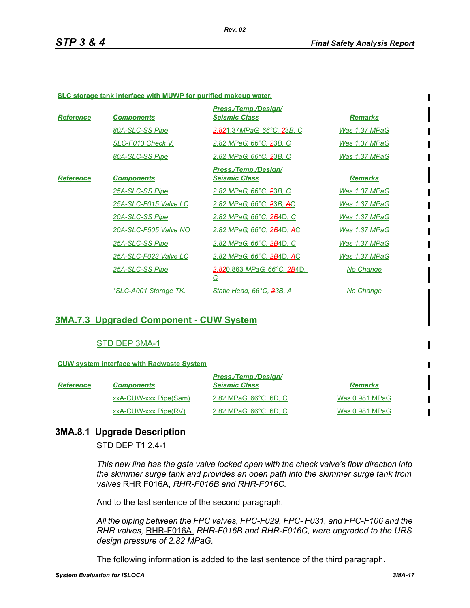#### **SLC storage tank interface with MUWP for purified makeup water.**

| <b>Reference</b> | <b>Components</b>            | Press./Temp./Design/<br><b>Seismic Class</b>          | <b>Remarks</b>       |
|------------------|------------------------------|-------------------------------------------------------|----------------------|
|                  | 80A-SLC-SS Pipe              | 2.821.37MPaG, 66°C, 23B, C                            | Was 1.37 MPaG        |
|                  | SLC-F013 Check V.            | 2.82 MPaG, 66°C, 23B, C                               | Was 1.37 MPaG        |
|                  | 80A-SLC-SS Pipe              | 2.82 MPaG, 66°C, 23B, C                               | Was 1.37 MPaG        |
| <b>Reference</b> | <b>Components</b>            | Press./Temp./Design/<br><b>Seismic Class</b>          | <b>Remarks</b>       |
|                  | 25A-SLC-SS Pipe              | 2.82 MPaG, 66°C, 23B, C                               | Was 1.37 MPaG        |
|                  | 25A-SLC-F015 Valve LC        | 2.82 MPaG, 66°C, 23B, AC                              | Was 1.37 MPaG        |
|                  | 20A-SLC-SS Pipe              | 2.82 MPaG, 66°C, <del>2B</del> 4D, C                  | Was 1.37 MPaG        |
|                  | 20A-SLC-F505 Valve NO        | 2.82 MPaG, 66°C, <del>2B</del> 4D, AC                 | Was 1.37 MPaG        |
|                  | 25A-SLC-SS Pipe              | 2.82 MPaG, 66°C, <del>2B</del> 4D, C                  | Was 1.37 MPaG        |
|                  | 25A-SLC-F023 Valve LC        | 2.82 MPaG, 66°C, 2B4D, AC                             | <u>Was 1.37 MPaG</u> |
|                  | 25A-SLC-SS Pipe              | <u>2.820.863 MPaG, 66°С, 2В4D, </u><br>$\overline{C}$ | No Change            |
|                  | <u>*SLC-A001 Storage TK.</u> | Static Head, 66°C, 23B, A                             | <u>No Change</u>     |

## **3MA.7.3 Upgraded Component - CUW System**

#### STD DEP 3MA-1

#### **CUW system interface with Radwaste System**

| <b>Reference</b> | <b>Components</b>     | Press./Temp./Design/<br><b>Seismic Class</b> | <b>Remarks</b> |
|------------------|-----------------------|----------------------------------------------|----------------|
|                  | xxA-CUW-xxx Pipe(Sam) | 2.82 MPaG, 66°C, 6D, C                       | Was 0.981 MPaG |
|                  | xxA-CUW-xxx Pipe(RV)  | 2.82 MPaG, 66°C, 6D, C                       | Was 0.981 MPaG |

## **3MA.8.1 Upgrade Description**

STD DEP T1 2.4-1

*This new line has the gate valve locked open with the check valve's flow direction into the skimmer surge tank and provides an open path into the skimmer surge tank from valves* RHR F016A, *RHR-F016B and RHR-F016C.*

And to the last sentence of the second paragraph.

*All the piping between the FPC valves, FPC-F029, FPC- F031, and FPC-F106 and the RHR valves,* RHR-F016A, *RHR-F016B and RHR-F016C, were upgraded to the URS design pressure of 2.82 MPaG.*

The following information is added to the last sentence of the third paragraph.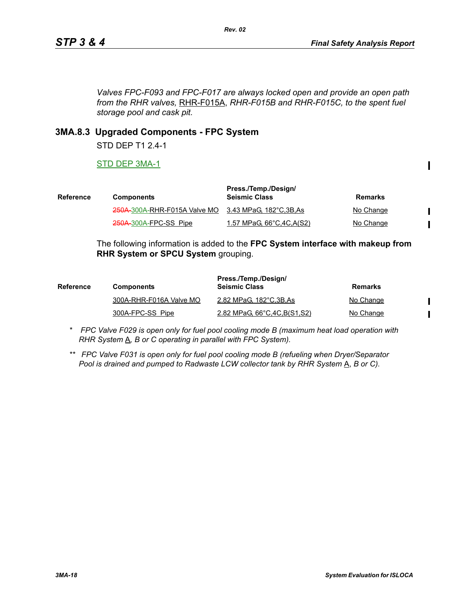$\mathbf I$ 

 $\blacksquare$  $\blacksquare$ 

 $\mathbf I$  $\blacksquare$ 

*Valves FPC-F093 and FPC-F017 are always locked open and provide an open path from the RHR valves,* RHR-F015A, *RHR-F015B and RHR-F015C, to the spent fuel storage pool and cask pit.*

*Rev. 02*

## **3MA.8.3 Upgraded Components - FPC System**

STD DEP T1 2.4-1

STD DEP 3MA-1

| <b>Reference</b> | <b>Components</b>                                     | Press./Temp./Design/<br><b>Seismic Class</b> | Remarks   |
|------------------|-------------------------------------------------------|----------------------------------------------|-----------|
|                  | 250A-300A-RHR-F015A Valve MO 3.43 MPaG, 182°C, 3B, As |                                              | No Change |
|                  | 250A-300A-FPC-SS Pipe                                 | <u>1.57 MPaG, 66°C, 4C, A(S2)</u>            | No Change |

The following information is added to the **FPC System interface with makeup from RHR System or SPCU System** grouping.

| <b>Reference</b> | <b>Components</b>       | Press./Temp./Design/<br><b>Seismic Class</b> | <b>Remarks</b> |
|------------------|-------------------------|----------------------------------------------|----------------|
|                  | 300A-RHR-F016A Valve MO | 2.82 MPaG, 182°C, 3B, As                     | No Change      |
|                  | 300A-FPC-SS Pipe        | 2.82 MPaG, 66°C, 4C, B(S1, S2)               | No Change      |

*\* FPC Valve F029 is open only for fuel pool cooling mode B (maximum heat load operation with RHR System*  $\underline{A}$ *, B or C operating in parallel with FPC System).* 

*\*\* FPC Valve F031 is open only for fuel pool cooling mode B (refueling when Dryer/Separator Pool is drained and pumped to Radwaste LCW collector tank by RHR System* A, *B or C).*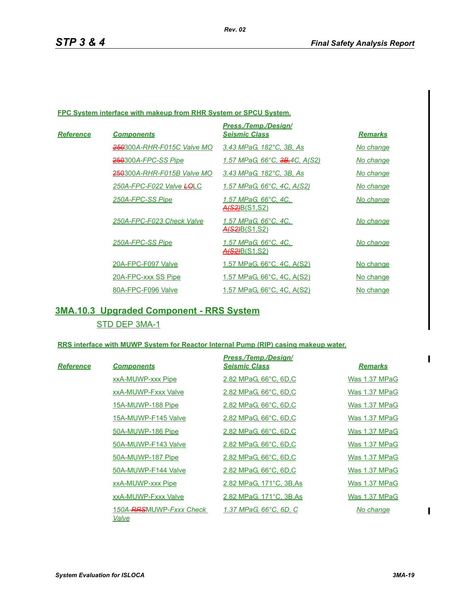#### **FPC System interface with makeup from RHR System or SPCU System.**

|                   |                            | Press./Temp./Desian/                         |                |
|-------------------|----------------------------|----------------------------------------------|----------------|
| Re <u>ference</u> | <b>Components</b>          | <b>Seismic Class</b>                         | <b>Remarks</b> |
|                   | 250300A-RHR-F015C Valve MO | 3.43 MPaG, 182°C, 3B, As                     | No change      |
|                   | 250300A-FPC-SS Pipe        | 1.57 MPaG, 66°C, <del>3B,</del> 4C, A(S2)    | No change      |
|                   | 250300A-RHR-F015B Valve MO | 3.43 MPaG, 182°C, 3B, As                     | No change      |
|                   | 250A-FPC-F022 Valve LOLC   | 1.57 MPaG, 66°C, 4C, A(S2)                   | No change      |
|                   | 250A-FPC-SS Pipe           | 1.57 MPaG, 66°C, 4C,<br><u>A(S2)B(S1,S2)</u> | No change      |
|                   | 250A-FPC-F023 Check Valve  | 1.57 MPaG, 66°C, 4C,<br>A(S2)B(S1,S2)        | No change      |
|                   | 250A-FPC-SS Pipe           | 1.57 MPaG. 66°C. 4C.<br>A(S2)B(S1,S2)        | No change      |
|                   | 20A-FPC-F097 Valve         | 1.57 MPaG, 66°C, 4C, A(S2)                   | No change      |
|                   | 20A-FPC-xxx SS Pipe        | 1.57 MPaG, 66°C, 4C, A(S2)                   | No change      |
|                   | 80A-FPC-F096 Valve         | 1.57 MPaG, 66°C, 4C, A(S2)                   | No change      |

## **3MA.10.3 Upgraded Component - RRS System** STD DEP 3MA-1

#### **RRS interface with MUWP System for Reactor Internal Pump (RIP) casing makeup water.**

|           |                                               | Press./Temp./Design/     |                |
|-----------|-----------------------------------------------|--------------------------|----------------|
| Reference | <b>Components</b>                             | <b>Seismic Class</b>     | <b>Remarks</b> |
|           | xxA-MUWP-xxx Pipe                             | 2.82 MPaG, 66°C, 6D,C    | Was 1.37 MPaG  |
|           | xxA-MUWP-Fxxx Valve                           | 2.82 MPaG, 66°C, 6D,C    | Was 1.37 MPaG  |
|           | 15A-MUWP-188 Pipe                             | 2.82 MPaG, 66°C, 6D,C    | Was 1.37 MPaG  |
|           | 15A-MUWP-F145 Valve                           | 2.82 MPaG, 66°C, 6D,C    | Was 1.37 MPaG  |
|           | 50A-MUWP-186 Pipe                             | 2.82 MPaG, 66°C, 6D,C    | Was 1.37 MPaG  |
|           | 50A-MUWP-F143 Valve                           | 2.82 MPaG, 66°C, 6D,C    | Was 1.37 MPaG  |
|           | 50A-MUWP-187 Pipe                             | 2.82 MPaG, 66°C, 6D,C    | Was 1.37 MPaG  |
|           | 50A-MUWP-F144 Valve                           | 2.82 MPaG, 66°C, 6D,C    | Was 1.37 MPaG  |
|           | xxA-MUWP-xxx Pipe                             | 2.82 MPaG, 171°C, 3B, As | Was 1.37 MPaG  |
|           | xxA-MUWP-Fxxx Valve                           | 2.82 MPaG, 171°C, 3B, As | Was 1.37 MPaG  |
|           | 150A- <del>RRS</del> MUWP-Fxxx Check<br>Valve | 1.37 MPaG, 66°C, 6D, C   | No change      |

 $\blacksquare$ 

 $\mathbf{I}$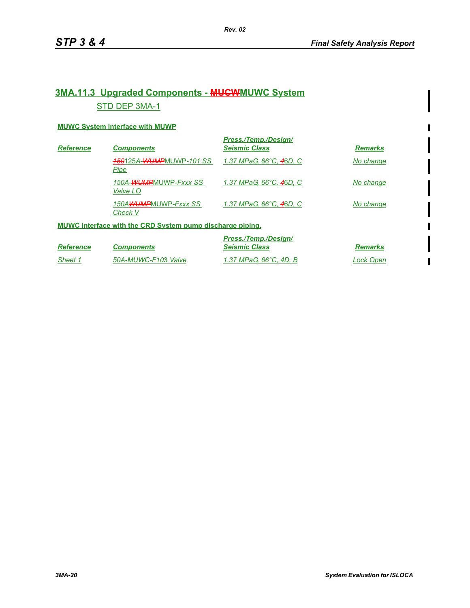## **3MA.11.3 Upgraded Components - MUCWMUWC System** STD DEP 3MA-1

#### **MUWC System interface with MUWP**

| <b>Reference</b>                                                 | <b>Components</b>                             | Press./Temp./Design/<br><b>Seismic Class</b> | <b>Remarks</b> |
|------------------------------------------------------------------|-----------------------------------------------|----------------------------------------------|----------------|
|                                                                  | <b>450125A-WUMPMUWP-101 SS</b><br><u>Pipe</u> | 1.37 MPaG, 66°C, 46D, C                      | No change      |
|                                                                  | 150A-WUMPMUWP-Fxxx SS<br>Valve LO             | 1.37 MPaG, 66°C, 46D, C                      | No change      |
|                                                                  | 150AWUMPMUWP-Fxxx SS<br>Check V               | 1.37 MPaG, 66°C, 46D, C                      | No change      |
| <b>MUWC interface with the CRD System pump discharge piping.</b> |                                               |                                              |                |

|                  |                     | Press./Temp./Design/   |                |
|------------------|---------------------|------------------------|----------------|
| <b>Reference</b> | <b>Components</b>   | <b>Seismic Class</b>   | <b>Remarks</b> |
| Sheet 1          | 50A-MUWC-F103 Valve | 1.37 MPaG. 66°C. 4D. B | Lock Open      |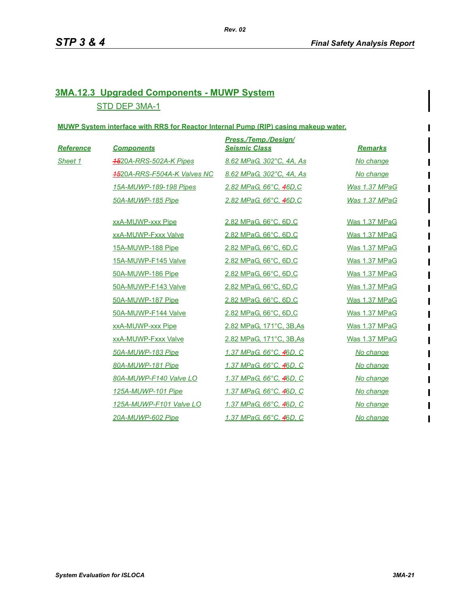## **3MA.12.3 Upgraded Components - MUWP System** STD DEP 3MA-1

#### **MUWP System interface with RRS for Reactor Internal Pump (RIP) casing makeup water.**

| Reference | <b>Components</b>                  | <b>Press./Temp./Design/</b><br><b>Seismic Class</b> | <b>Remarks</b> |
|-----------|------------------------------------|-----------------------------------------------------|----------------|
| Sheet 1   | <b>1520A-RRS-502A-K Pipes</b>      | 8.62 MPaG, 302°C, 4A, As                            | No change      |
|           | <b>1520A-RRS-F504A-K Valves NC</b> | 8.62 MPaG, 302°C, 4A, As                            | No change      |
|           | 15A-MUWP-189-198 Pipes             | 2.82 MPaG, 66°C, 46D, C                             | Was 1.37 MPaG  |
|           | 50A-MUWP-185 Pipe                  | 2.82 MPaG, 66°C, 46D, C                             | Was 1.37 MPaG  |
|           |                                    |                                                     |                |
|           | xxA-MUWP-xxx Pipe                  | 2.82 MPaG, 66°C, 6D,C                               | Was 1.37 MPaG  |
|           | xxA-MUWP-Fxxx Valve                | 2.82 MPaG, 66°C, 6D,C                               | Was 1.37 MPaG  |
|           | 15A-MUWP-188 Pipe                  | 2.82 MPaG, 66°C, 6D,C                               | Was 1.37 MPaG  |
|           | 15A-MUWP-F145 Valve                | 2.82 MPaG, 66°C, 6D,C                               | Was 1.37 MPaG  |
|           | 50A-MUWP-186 Pipe                  | 2.82 MPaG, 66°C, 6D,C                               | Was 1.37 MPaG  |
|           | 50A-MUWP-F143 Valve                | 2.82 MPaG, 66°C, 6D,C                               | Was 1.37 MPaG  |
|           | 50A-MUWP-187 Pipe                  | 2.82 MPaG, 66°C, 6D,C                               | Was 1.37 MPaG  |
|           | 50A-MUWP-F144 Valve                | 2.82 MPaG, 66°C, 6D,C                               | Was 1.37 MPaG  |
|           | xxA-MUWP-xxx Pipe                  | 2.82 MPaG, 171°C, 3B, As                            | Was 1.37 MPaG  |
|           | xxA-MUWP-Fxxx Valve                | 2.82 MPaG, 171°C, 3B, As                            | Was 1.37 MPaG  |
|           | 50A-MUWP-183 Pipe                  | 1.37 MPaG, 66°C, 46D, C                             | No change      |
|           | 80A-MUWP-181 Pipe                  | 1.37 MPaG, 66°C, 46D, C                             | No change      |
|           | 80A-MUWP-F140 Valve LO             | 1.37 MPaG, 66°C, 46D, C                             | No change      |
|           | 125A-MUWP-101 Pipe                 | 1.37 MPaG, 66°C, 46D, C                             | No change      |
|           | 125A-MUWP-F101 Valve LO            | 1.37 MPaG, 66°C, 46D, C                             | No change      |
|           | 20A-MUWP-602 Pipe                  | 1.37 MPaG, 66°C, 46D, C                             | No change      |

 $\blacksquare$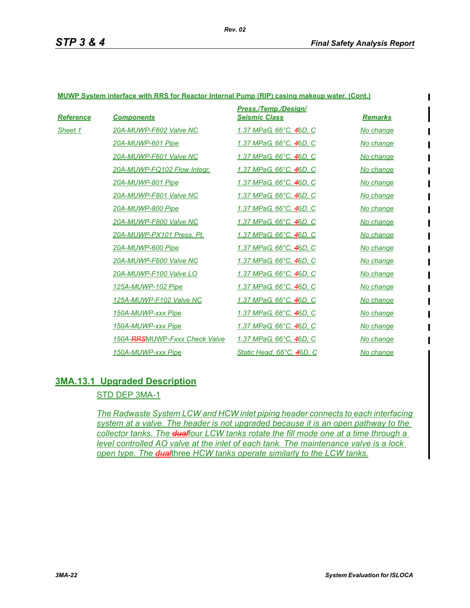$\mathbf I$ 

#### **MUWP System interface with RRS for Reactor Internal Pump (RIP) casing makeup water. (Cont.)**

| Reference | <b>Components</b>             | Press./Temp./Design/<br><b>Seismic Class</b> | <b>Remarks</b> |
|-----------|-------------------------------|----------------------------------------------|----------------|
| Sheet 1   | 20A-MUWP-F602 Valve NC        | 1.37 MPaG, 66°C, 46D, C                      | No change      |
|           | 20A-MUWP-601 Pipe             | 1.37 MPaG, 66°C, 46D, C                      | No change      |
|           | 20A-MUWP-F601 Valve NC        | 1.37 MPaG, 66°C, 46D, C                      | No change      |
|           | 20A-MUWP-FQ102 Flow Integr.   | 1.37 MPaG, 66°C, 46D, C                      | No change      |
|           | 20A-MUWP-801 Pipe             | 1.37 MPaG, 66°C, 46D, C                      | No change      |
|           | 20A-MUWP-F801 Valve NC        | 1.37 MPaG, 66°C, 46D, C                      | No change      |
|           | 20A-MUWP-800 Pipe             | 1.37 MPaG, 66°C, 46D, C                      | No change      |
|           | 20A-MUWP-F800 Valve NC        | <u> 1.37 MPaG, 66°С, 46D, С</u>              | No change      |
|           | 20A-MUWP-PX101 Press. Pt.     | 1.37 MPaG, 66°C, 46D, C                      | No change      |
|           | 20A-MUWP-600 Pipe             | 1.37 MPaG, 66°C, 46D, C                      | No change      |
|           | 20A-MUWP-F600 Valve NC        | 1.37 MPaG, 66°C, 46D, C                      | No change      |
|           | 20A-MUWP-F100 Valve LO        | 1.37 MPaG, 66°C, 46D, C                      | No change      |
|           | 125A-MUWP-102 Pipe            | 1.37 MPaG, 66°C, 46D, C                      | No change      |
|           | 125A-MUWP-F102 Valve NC       | 1.37 MPaG, 66°C, 46D, C                      | No change      |
|           | 150A-MUWP-xxx Pipe            | 1.37 MPaG, 66°C, 46D, C                      | No change      |
|           | 150A-MUWP-xxx Pipe            | 1.37 MPaG, 66°C, 46D, C                      | No change      |
|           | 150A-RRSMUWP-Fxxx Check Valve | 1.37 MPaG, 66°C, 46D, C                      | No change      |
|           | 150A-MUWP-xxx Pipe            | Static Head, 66°C, 46D, C                    | No change      |

### **3MA.13.1 Upgraded Description**

### STD DEP 3MA-1

*The Radwaste System LCW and HCW inlet piping header connects to each interfacing system at a valve. The header is not upgraded because it is an open pathway to the collector tanks. The dual*four *LCW tanks rotate the fill mode one at a time through a level controlled AO valve at the inlet of each tank. The maintenance valve is a lock open type. The dual*three *HCW tanks operate similarly to the LCW tanks.*